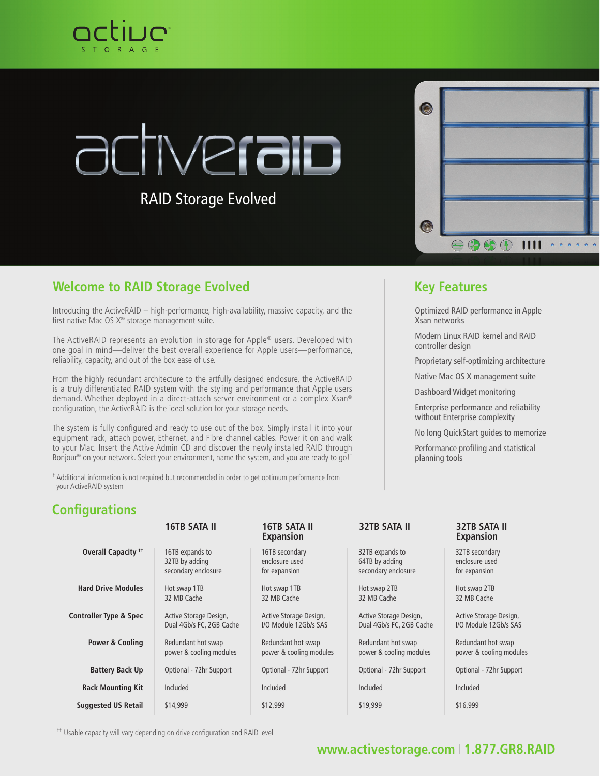

# **Nerain**

RAID Storage Evolved

| $\overline{\mathcal{C}}$ |                                                                                                                            |                     |
|--------------------------|----------------------------------------------------------------------------------------------------------------------------|---------------------|
|                          |                                                                                                                            |                     |
|                          |                                                                                                                            |                     |
| $\sqrt{2}$               |                                                                                                                            |                     |
|                          | $\oplus$ $\oplus$ $\oplus$<br>1111<br>$\ddot{\bullet}$ $\ddot{\bullet}$<br>$\ddot{e}$<br>$\ddot{\rm e}$<br>$\ddot{\theta}$ | $\ddot{\mathbf{e}}$ |

### **Welcome to RAID Storage Evolved <b>Key Features Key Features**

Introducing the ActiveRAID – high-performance, high-availability, massive capacity, and the first native Mac OS  $X^{\circledast}$  storage management suite.

The ActiveRAID represents an evolution in storage for Apple® users. Developed with one goal in mind—deliver the best overall experience for Apple users—performance, reliability, capacity, and out of the box ease of use.

From the highly redundant architecture to the artfully designed enclosure, the ActiveRAID is a truly differentiated RAID system with the styling and performance that Apple users demand. Whether deployed in a direct-attach server environment or a complex Xsan® configuration, the ActiveRAID is the ideal solution for your storage needs.

The system is fully configured and ready to use out of the box. Simply install it into your equipment rack, attach power, Ethernet, and Fibre channel cables. Power it on and walk to your Mac. Insert the Active Admin CD and discover the newly installed RAID through Bonjour<sup>®</sup> on your network. Select your environment, name the system, and you are ready to go!<sup>+</sup>

† Additional information is not required but recommended in order to get optimum performance from your ActiveRAID system

Optimized RAID performance in Apple Xsan networks

Modern Linux RAID kernel and RAID controller design

Proprietary self-optimizing architecture

Native Mac OS X management suite

Dashboard Widget monitoring

Enterprise performance and reliability without Enterprise complexity

No long QuickStart guides to memorize

Performance profiling and statistical planning tools

### **Configurations**

|                                   | <b>16TB SATA II</b>                                      | 16TB SATA II<br><b>Expansion</b>                  | <b>32TB SATA II</b>                                      | 32TB SATA II<br><b>Expansion</b>                  |
|-----------------------------------|----------------------------------------------------------|---------------------------------------------------|----------------------------------------------------------|---------------------------------------------------|
| Overall Capacity <sup>++</sup>    | 16TB expands to<br>32TB by adding<br>secondary enclosure | 16TB secondary<br>enclosure used<br>for expansion | 32TB expands to<br>64TB by adding<br>secondary enclosure | 32TB secondary<br>enclosure used<br>for expansion |
| <b>Hard Drive Modules</b>         | Hot swap 1TB<br>32 MB Cache                              | Hot swap 1TB<br>32 MB Cache                       | Hot swap 2TB<br>32 MB Cache                              | Hot swap 2TB<br>32 MB Cache                       |
| <b>Controller Type &amp; Spec</b> | Active Storage Design,<br>Dual 4Gb/s FC, 2GB Cache       | Active Storage Design,<br>I/O Module 12Gb/s SAS   | Active Storage Design,<br>Dual 4Gb/s FC, 2GB Cache       | Active Storage Design,<br>I/O Module 12Gb/s SAS   |
| <b>Power &amp; Cooling</b>        | Redundant hot swap<br>power & cooling modules            | Redundant hot swap<br>power & cooling modules     | Redundant hot swap<br>power & cooling modules            | Redundant hot swap<br>power & cooling modules     |
| <b>Battery Back Up</b>            | Optional - 72hr Support                                  | Optional - 72hr Support                           | Optional - 72hr Support                                  | Optional - 72hr Support                           |
| <b>Rack Mounting Kit</b>          | Included                                                 | Included                                          | Included                                                 | Included                                          |
| <b>Suggested US Retail</b>        | \$14,999                                                 | \$12,999                                          | \$19,999                                                 | \$16,999                                          |

<sup>††</sup> Usable capacity will vary depending on drive configuration and RAID level

### **[www.activestorage.com](http://activestorage.com)** I **1.877.GR8.RAID**